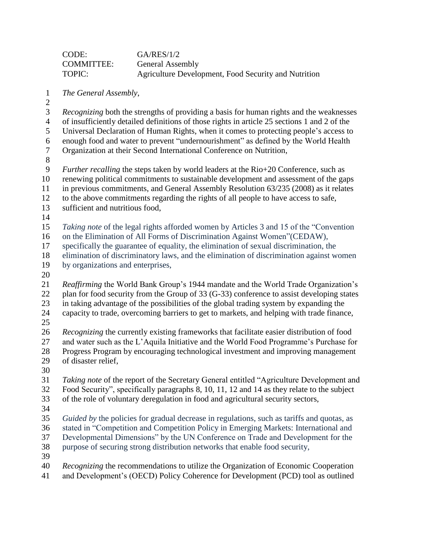| CODE:             | GA/RES/1/2                                           |
|-------------------|------------------------------------------------------|
| <b>COMMITTEE:</b> | <b>General Assembly</b>                              |
| TOPIC:            | Agriculture Development, Food Security and Nutrition |

- *The General Assembly*,
- 

*Recognizing* both the strengths of providing a basis for human rights and the weaknesses

of insufficiently detailed definitions of those rights in article 25 sections 1 and 2 of the

Universal Declaration of Human Rights, when it comes to protecting people's access to

- enough food and water to prevent "undernourishment" as defined by the World Health Organization at their Second International Conference on Nutrition,
- 

 *Further recalling* the steps taken by world leaders at the Rio+20 Conference, such as renewing political commitments to sustainable development and assessment of the gaps in previous commitments, and General Assembly Resolution 63/235 (2008) as it relates

- to the above commitments regarding the rights of all people to have access to safe,
- sufficient and nutritious food,
- 

 *Taking note* of the legal rights afforded women by Articles 3 and 15 of the "Convention on the Elimination of All Forms of Discrimination Against Women"(CEDAW),

specifically the guarantee of equality, the elimination of sexual discrimination, the

elimination of discriminatory laws, and the elimination of discrimination against women

- by organizations and enterprises,
- 

 *Reaffirming* the World Bank Group's 1944 mandate and the World Trade Organization's 22 plan for food security from the Group of 33 (G-33) conference to assist developing states in taking advantage of the possibilities of the global trading system by expanding the capacity to trade, overcoming barriers to get to markets, and helping with trade finance,

 *Recognizing* the currently existing frameworks that facilitate easier distribution of food and water such as the L'Aquila Initiative and the World Food Programme's Purchase for Progress Program by encouraging technological investment and improving management of disaster relief,

 *Taking note* of the report of the Secretary General entitled "Agriculture Development and Food Security", specifically paragraphs 8, 10, 11, 12 and 14 as they relate to the subject of the role of voluntary deregulation in food and agricultural security sectors,

 *Guided by* the policies for gradual decrease in regulations, such as tariffs and quotas, as stated in "Competition and Competition Policy in Emerging Markets: International and Developmental Dimensions" by the UN Conference on Trade and Development for the purpose of securing strong distribution networks that enable food security,

*Recognizing* the recommendations to utilize the Organization of Economic Cooperation

and Development's (OECD) Policy Coherence for Development (PCD) tool as outlined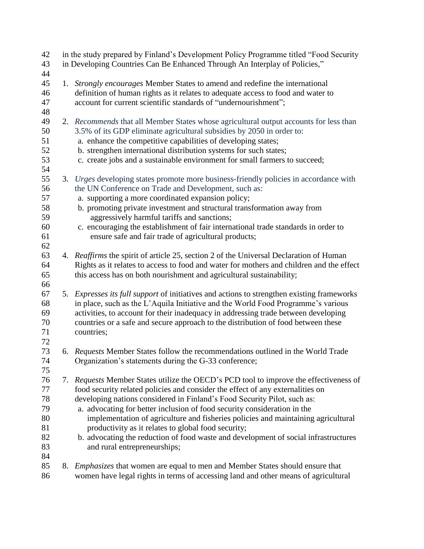| 42<br>43<br>44                                     |    | in the study prepared by Finland's Development Policy Programme titled "Food Security"<br>in Developing Countries Can Be Enhanced Through An Interplay of Policies,"                                                                                                                                                                                                                                                                                                                                                                                                                            |
|----------------------------------------------------|----|-------------------------------------------------------------------------------------------------------------------------------------------------------------------------------------------------------------------------------------------------------------------------------------------------------------------------------------------------------------------------------------------------------------------------------------------------------------------------------------------------------------------------------------------------------------------------------------------------|
| 45<br>46<br>47<br>48                               |    | 1. Strongly encourages Member States to amend and redefine the international<br>definition of human rights as it relates to adequate access to food and water to<br>account for current scientific standards of "undernourishment";                                                                                                                                                                                                                                                                                                                                                             |
| 49<br>50<br>51<br>52<br>53<br>54                   |    | 2. Recommends that all Member States whose agricultural output accounts for less than<br>3.5% of its GDP eliminate agricultural subsidies by 2050 in order to:<br>a. enhance the competitive capabilities of developing states;<br>b. strengthen international distribution systems for such states;<br>c. create jobs and a sustainable environment for small farmers to succeed;                                                                                                                                                                                                              |
| 55<br>56<br>57<br>58<br>59<br>60<br>61<br>62       |    | 3. Urges developing states promote more business-friendly policies in accordance with<br>the UN Conference on Trade and Development, such as:<br>a. supporting a more coordinated expansion policy;<br>b. promoting private investment and structural transformation away from<br>aggressively harmful tariffs and sanctions;<br>c. encouraging the establishment of fair international trade standards in order to<br>ensure safe and fair trade of agricultural products;                                                                                                                     |
| 63<br>64<br>65<br>66                               |    | 4. Reaffirms the spirit of article 25, section 2 of the Universal Declaration of Human<br>Rights as it relates to access to food and water for mothers and children and the effect<br>this access has on both nourishment and agricultural sustainability;                                                                                                                                                                                                                                                                                                                                      |
| 67<br>68<br>69<br>70<br>71<br>72                   |    | 5. Expresses its full support of initiatives and actions to strengthen existing frameworks<br>in place, such as the L'Aquila Initiative and the World Food Programme's various<br>activities, to account for their inadequacy in addressing trade between developing<br>countries or a safe and secure approach to the distribution of food between these<br>countries;                                                                                                                                                                                                                         |
| 73<br>74<br>75                                     |    | 6. Requests Member States follow the recommendations outlined in the World Trade<br>Organization's statements during the G-33 conference;                                                                                                                                                                                                                                                                                                                                                                                                                                                       |
| 76<br>77<br>78<br>79<br>80<br>81<br>82<br>83<br>84 | 7. | Requests Member States utilize the OECD's PCD tool to improve the effectiveness of<br>food security related policies and consider the effect of any externalities on<br>developing nations considered in Finland's Food Security Pilot, such as:<br>a. advocating for better inclusion of food security consideration in the<br>implementation of agriculture and fisheries policies and maintaining agricultural<br>productivity as it relates to global food security;<br>b. advocating the reduction of food waste and development of social infrastructures<br>and rural entrepreneurships; |
| 85<br>86                                           |    | 8. <i>Emphasizes</i> that women are equal to men and Member States should ensure that<br>women have legal rights in terms of accessing land and other means of agricultural                                                                                                                                                                                                                                                                                                                                                                                                                     |